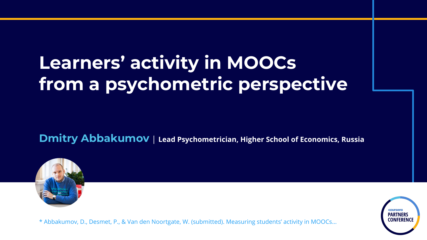## **Learners' activity in MOOCs from a psychometric perspective**

**Dmitry Abbakumov** | **Lead Psychometrician, Higher School of Economics, Russia**



\* Abbakumov, D., Desmet, P., & Van den Noortgate, W. (submitted). Measuring students' activity in MOOCs...

**PARTNER**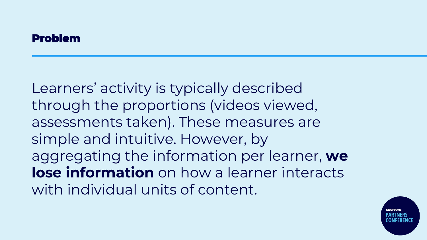#### **Problem**

Learners' activity is typically described through the proportions (videos viewed, assessments taken). These measures are simple and intuitive. However, by aggregating the information per learner, **we lose information** on how a learner interacts with individual units of content.

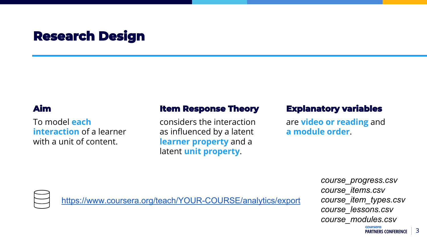## **Research Design**

#### **Aim**

To model **each interaction** of a learner with a unit of content.

#### **Item Response Theory**

considers the interaction as influenced by a latent **learner property** and a latent **unit property**.

#### **Explanatory variables**

are **video or reading** and **a module order**.



<https://www.coursera.org/teach/YOUR-COURSE/analytics/export>

*course\_progress.csv course\_items.csv course\_item\_types.csv course\_lessons.csv course\_modules.csv*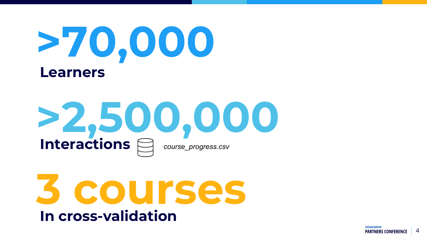

# **>2,500,000 Interactions** *course\_progress.csv*

**3 courses In cross-validation**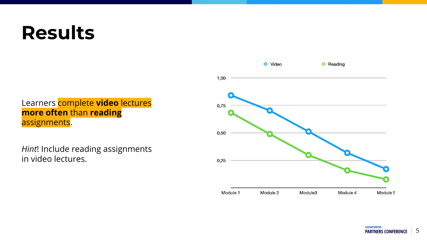## **Results**

Learners complete **video** lectures **more often** than **reading** assignments.

*Hint*! Include reading assignments in video lectures.

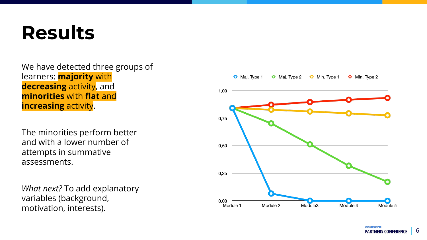## **Results**

#### We have detected three groups of learners: **majority** with **decreasing** activity, and **minorities** with **flat** and **increasing** activity.

The minorities perform better and with a lower number of attempts in summative assessments.

*What next?* To add explanatory variables (background, motivation, interests).

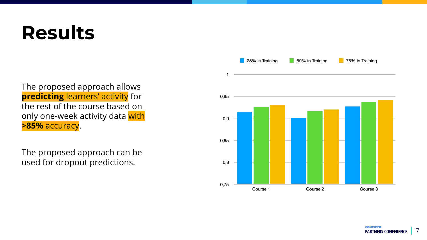## **Results**

The proposed approach allows **predicting** learners' activity for the rest of the course based on only one-week activity data with **>85%** accuracy.

The proposed approach can be used for dropout predictions.

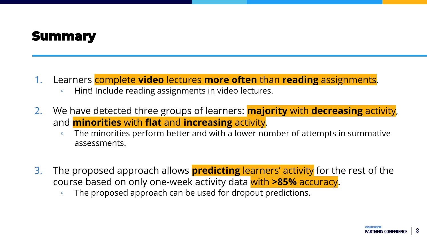### **Summary**

- 1. Learners complete **video** lectures **more often** than **reading** assignments.
	- Hint! Include reading assignments in video lectures.
- 2. We have detected three groups of learners: **majority** with **decreasing** activity, and **minorities** with **flat** and **increasing** activity.
	- The minorities perform better and with a lower number of attempts in summative assessments.
- 3. The proposed approach allows **predicting** learners' activity for the rest of the course based on only one-week activity data with **>85%** accuracy.
	- The proposed approach can be used for dropout predictions.